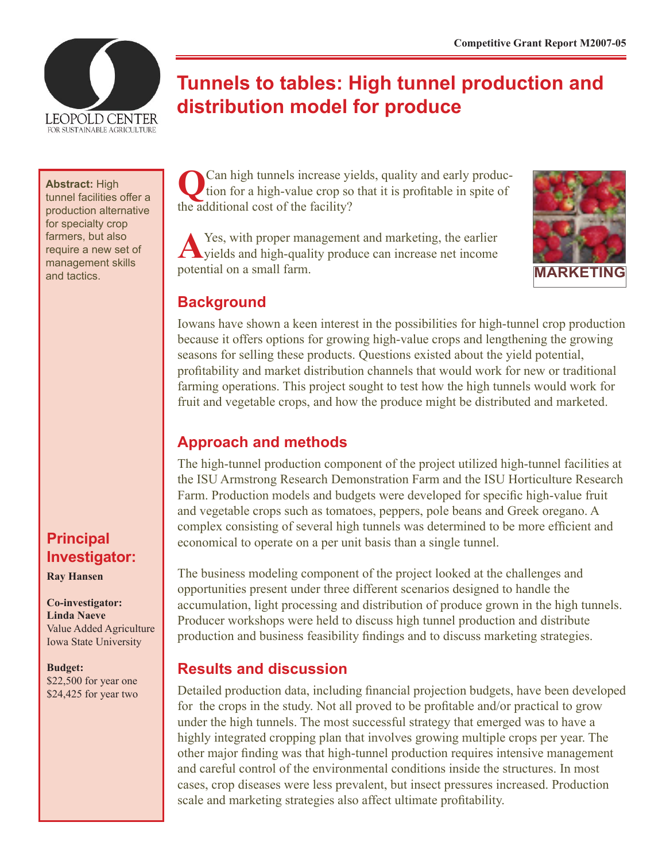

# **Tunnels to tables: High tunnel production and distribution model for produce**

#### **Abstract:** High

tunnel facilities offer a production alternative for specialty crop farmers, but also require a new set of management skills

# **Principal Investigator:**

**Ray Hansen**

#### **Co-investigator: Linda Naeve** Value Added Agriculture

Iowa State University

**Budget:** \$22,500 for year one \$24,425 for year two

**Q**Can high tunnels increase yields, quality and early production for a high-value crop so that it is profitable in spite of the additional cost of the facility?

A Yes, with proper management and marketing, the earlier yields and high-quality produce can increase net income management skills be potential on a small farm.



### **Background**

Iowans have shown a keen interest in the possibilities for high-tunnel crop production because it offers options for growing high-value crops and lengthening the growing seasons for selling these products. Questions existed about the yield potential, profitability and market distribution channels that would work for new or traditional farming operations. This project sought to test how the high tunnels would work for fruit and vegetable crops, and how the produce might be distributed and marketed.

### **Approach and methods**

The high-tunnel production component of the project utilized high-tunnel facilities at the ISU Armstrong Research Demonstration Farm and the ISU Horticulture Research Farm. Production models and budgets were developed for specific high-value fruit and vegetable crops such as tomatoes, peppers, pole beans and Greek oregano. A complex consisting of several high tunnels was determined to be more efficient and economical to operate on a per unit basis than a single tunnel.

The business modeling component of the project looked at the challenges and opportunities present under three different scenarios designed to handle the accumulation, light processing and distribution of produce grown in the high tunnels. Producer workshops were held to discuss high tunnel production and distribute production and business feasibility findings and to discuss marketing strategies.

### **Results and discussion**

Detailed production data, including financial projection budgets, have been developed for the crops in the study. Not all proved to be profitable and/or practical to grow under the high tunnels. The most successful strategy that emerged was to have a highly integrated cropping plan that involves growing multiple crops per year. The other major finding was that high-tunnel production requires intensive management and careful control of the environmental conditions inside the structures. In most cases, crop diseases were less prevalent, but insect pressures increased. Production scale and marketing strategies also affect ultimate profitability.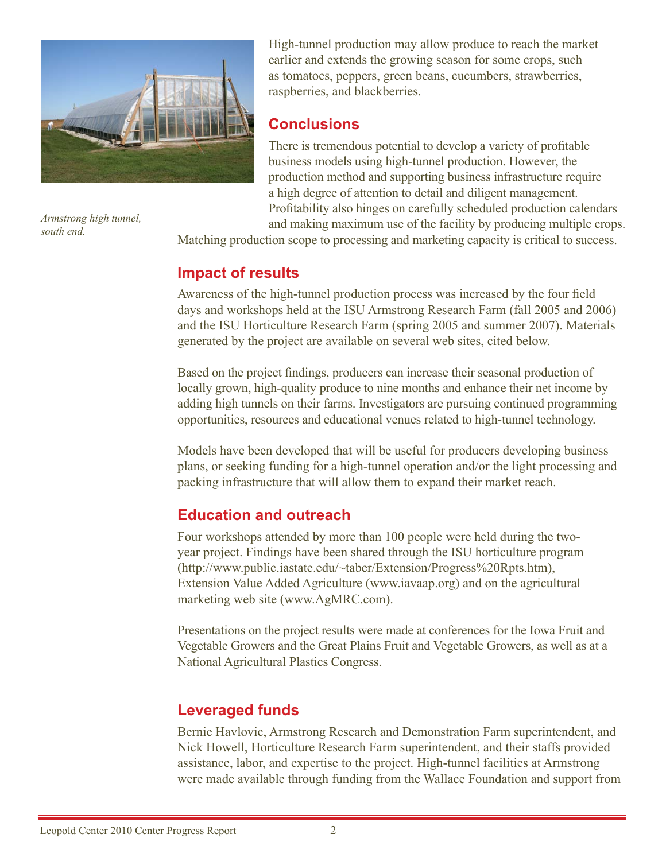

*Armstrong high tunnel, south end.*

High-tunnel production may allow produce to reach the market earlier and extends the growing season for some crops, such as tomatoes, peppers, green beans, cucumbers, strawberries, raspberries, and blackberries.

### **Conclusions**

There is tremendous potential to develop a variety of profitable business models using high-tunnel production. However, the production method and supporting business infrastructure require a high degree of attention to detail and diligent management. Profitability also hinges on carefully scheduled production calendars and making maximum use of the facility by producing multiple crops.

Matching production scope to processing and marketing capacity is critical to success.

# **Impact of results**

Awareness of the high-tunnel production process was increased by the four field days and workshops held at the ISU Armstrong Research Farm (fall 2005 and 2006) and the ISU Horticulture Research Farm (spring 2005 and summer 2007). Materials generated by the project are available on several web sites, cited below.

Based on the project findings, producers can increase their seasonal production of locally grown, high-quality produce to nine months and enhance their net income by adding high tunnels on their farms. Investigators are pursuing continued programming opportunities, resources and educational venues related to high-tunnel technology.

Models have been developed that will be useful for producers developing business plans, or seeking funding for a high-tunnel operation and/or the light processing and packing infrastructure that will allow them to expand their market reach.

### **Education and outreach**

Four workshops attended by more than 100 people were held during the twoyear project. Findings have been shared through the ISU horticulture program (http://www.public.iastate.edu/~taber/Extension/Progress%20Rpts.htm), Extension Value Added Agriculture (www.iavaap.org) and on the agricultural marketing web site (www.AgMRC.com).

Presentations on the project results were made at conferences for the Iowa Fruit and Vegetable Growers and the Great Plains Fruit and Vegetable Growers, as well as at a National Agricultural Plastics Congress.

# **Leveraged funds**

Bernie Havlovic, Armstrong Research and Demonstration Farm superintendent, and Nick Howell, Horticulture Research Farm superintendent, and their staffs provided assistance, labor, and expertise to the project. High-tunnel facilities at Armstrong were made available through funding from the Wallace Foundation and support from